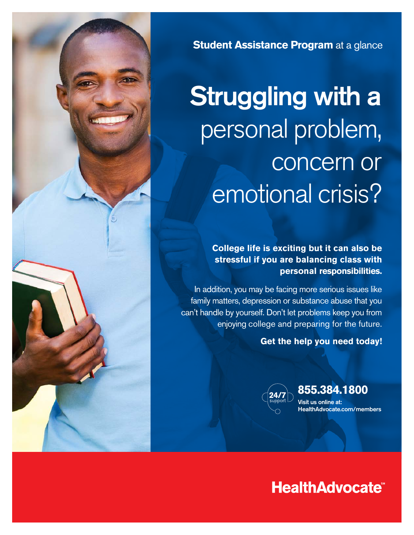Ð

**Student Assistance Program** at a glance

# Struggling with a personal problem, concern or emotional crisis?

**College life is exciting but it can also be stressful if you are balancing class with personal responsibilities.**

In addition, you may be facing more serious issues like family matters, depression or substance abuse that you can't handle by yourself. Don't let problems keep you from enjoying college and preparing for the future.

**Get the help you need today!**



#### **855.384.1800**

Visit us online at: HealthAdvocate.com/members

### **HealthAdvocate®**